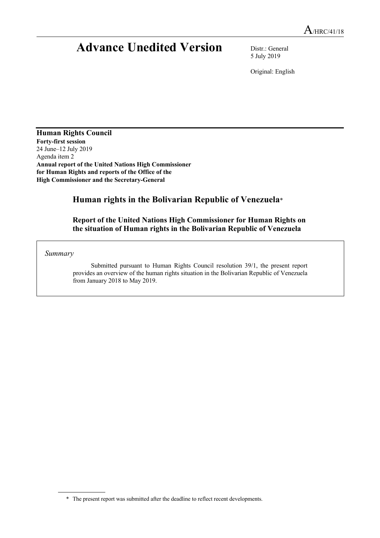# **Advance Unedited Version** Distr.: General

5 July 2019

Original: English

**Human Rights Council Forty-first session** 24 June–12 July 2019 Agenda item 2 **Annual report of the United Nations High Commissioner for Human Rights and reports of the Office of the High Commissioner and the Secretary-General**

# **Human rights in the Bolivarian Republic of Venezuela**\*

**Report of the United Nations High Commissioner for Human Rights on the situation of Human rights in the Bolivarian Republic of Venezuela**

*Summary*

Submitted pursuant to Human Rights Council resolution 39/1, the present report provides an overview of the human rights situation in the Bolivarian Republic of Venezuela from January 2018 to May 2019.

<sup>\*</sup> The present report was submitted after the deadline to reflect recent developments.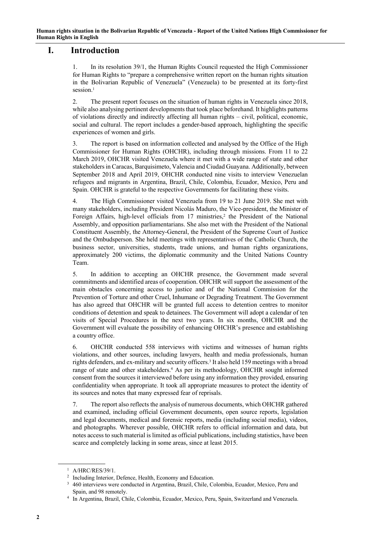# **I. Introduction**

1. In its resolution 39/1, the Human Rights Council requested the High Commissioner for Human Rights to "prepare a comprehensive written report on the human rights situation in the Bolivarian Republic of Venezuela" (Venezuela) to be presented at its forty-first session.<sup>1</sup>

2. The present report focuses on the situation of human rights in Venezuela since 2018, while also analysing pertinent developments that took place beforehand. It highlights patterns of violations directly and indirectly affecting all human rights – civil, political, economic, social and cultural. The report includes a gender-based approach, highlighting the specific experiences of women and girls.

3. The report is based on information collected and analysed by the Office of the High Commissioner for Human Rights (OHCHR), including through missions. From 11 to 22 March 2019, OHCHR visited Venezuela where it met with a wide range of state and other stakeholders in Caracas, Barquisimeto, Valencia and Ciudad Guayana. Additionally, between September 2018 and April 2019, OHCHR conducted nine visits to interview Venezuelan refugees and migrants in Argentina, Brazil, Chile, Colombia, Ecuador, Mexico, Peru and Spain. OHCHR is grateful to the respective Governments for facilitating these visits.

4. The High Commissioner visited Venezuela from 19 to 21 June 2019. She met with many stakeholders, including President Nicolás Maduro, the Vice-president, the Minister of Foreign Affairs, high-level officials from 17 ministries, <sup>2</sup> the President of the National Assembly, and opposition parliamentarians. She also met with the President of the National Constituent Assembly, the Attorney-General, the President of the Supreme Court of Justice and the Ombudsperson. She held meetings with representatives of the Catholic Church, the business sector, universities, students, trade unions, and human rights organizations, approximately 200 victims, the diplomatic community and the United Nations Country Team.

5. In addition to accepting an OHCHR presence, the Government made several commitments and identified areas of cooperation. OHCHR will support the assessment of the main obstacles concerning access to justice and of the National Commission for the Prevention of Torture and other Cruel, Inhumane or Degrading Treatment. The Government has also agreed that OHCHR will be granted full access to detention centres to monitor conditions of detention and speak to detainees. The Government will adopt a calendar of ten visits of Special Procedures in the next two years. In six months, OHCHR and the Government will evaluate the possibility of enhancing OHCHR's presence and establishing a country office.

6. OHCHR conducted 558 interviews with victims and witnesses of human rights violations, and other sources, including lawyers, health and media professionals, human rights defenders, and ex-military and security officers.<sup>3</sup> It also held 159 meetings with a broad range of state and other stakeholders. <sup>4</sup> As per its methodology, OHCHR sought informed consent from the sources it interviewed before using any information they provided, ensuring confidentiality when appropriate. It took all appropriate measures to protect the identity of its sources and notes that many expressed fear of reprisals.

7. The report also reflects the analysis of numerous documents, which OHCHR gathered and examined, including official Government documents, open source reports, legislation and legal documents, medical and forensic reports, media (including social media), videos, and photographs. Wherever possible, OHCHR refers to official information and data, but notes access to such material is limited as official publications, including statistics, have been scarce and completely lacking in some areas, since at least 2015.

<sup>1</sup> A/HRC/RES/39/1.

<sup>&</sup>lt;sup>2</sup> Including Interior, Defence, Health, Economy and Education.

<sup>3</sup> 460 interviews were conducted in Argentina, Brazil, Chile, Colombia, Ecuador, Mexico, Peru and Spain, and 98 remotely.

<sup>4</sup> In Argentina, Brazil, Chile, Colombia, Ecuador, Mexico, Peru, Spain, Switzerland and Venezuela.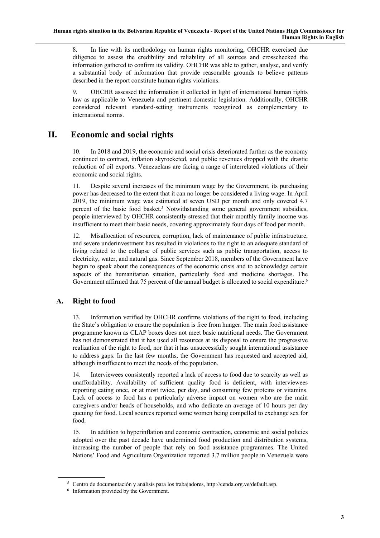8. In line with its methodology on human rights monitoring, OHCHR exercised due diligence to assess the credibility and reliability of all sources and crosschecked the information gathered to confirm its validity. OHCHR was able to gather, analyse, and verify a substantial body of information that provide reasonable grounds to believe patterns described in the report constitute human rights violations.

9. OHCHR assessed the information it collected in light of international human rights law as applicable to Venezuela and pertinent domestic legislation. Additionally, OHCHR considered relevant standard-setting instruments recognized as complementary to international norms.

# **II. Economic and social rights**

10. In 2018 and 2019, the economic and social crisis deteriorated further as the economy continued to contract, inflation skyrocketed, and public revenues dropped with the drastic reduction of oil exports. Venezuelans are facing a range of interrelated violations of their economic and social rights.

11. Despite several increases of the minimum wage by the Government, its purchasing power has decreased to the extent that it can no longer be considered a living wage. In April 2019, the minimum wage was estimated at seven USD per month and only covered 4.7 percent of the basic food basket.5 Notwithstanding some general government subsidies, people interviewed by OHCHR consistently stressed that their monthly family income was insufficient to meet their basic needs, covering approximately four days of food per month.

12. Misallocation of resources, corruption, lack of maintenance of public infrastructure, and severe underinvestment has resulted in violations to the right to an adequate standard of living related to the collapse of public services such as public transportation, access to electricity, water, and natural gas. Since September 2018, members of the Government have begun to speak about the consequences of the economic crisis and to acknowledge certain aspects of the humanitarian situation, particularly food and medicine shortages. The Government affirmed that 75 percent of the annual budget is allocated to social expenditure.<sup>6</sup>

# **A. Right to food**

13. Information verified by OHCHR confirms violations of the right to food, including the State's obligation to ensure the population is free from hunger. The main food assistance programme known as CLAP boxes does not meet basic nutritional needs. The Government has not demonstrated that it has used all resources at its disposal to ensure the progressive realization of the right to food, nor that it has unsuccessfully sought international assistance to address gaps. In the last few months, the Government has requested and accepted aid, although insufficient to meet the needs of the population.

14. Interviewees consistently reported a lack of access to food due to scarcity as well as unaffordability. Availability of sufficient quality food is deficient, with interviewees reporting eating once, or at most twice, per day, and consuming few proteins or vitamins. Lack of access to food has a particularly adverse impact on women who are the main caregivers and/or heads of households, and who dedicate an average of 10 hours per day queuing for food. Local sources reported some women being compelled to exchange sex for food.

15. In addition to hyperinflation and economic contraction, economic and social policies adopted over the past decade have undermined food production and distribution systems, increasing the number of people that rely on food assistance programmes. The United Nations' Food and Agriculture Organization reported 3.7 million people in Venezuela were

<sup>5</sup> Centro de documentación y análisis para los trabajadores, http://cenda.org.ve/default.asp.

<sup>6</sup> Information provided by the Government.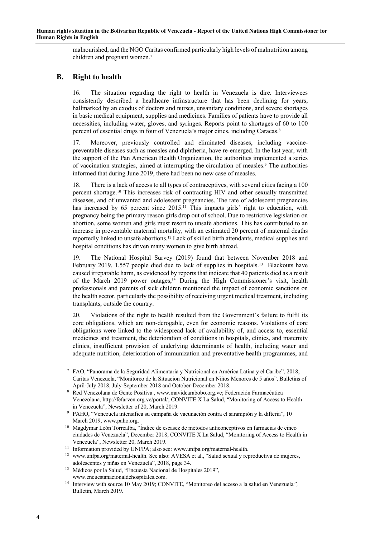malnourished, and the NGO Caritas confirmed particularly high levels of malnutrition among children and pregnant women.7

## **B. Right to health**

16. The situation regarding the right to health in Venezuela is dire. Interviewees consistently described a healthcare infrastructure that has been declining for years, hallmarked by an exodus of doctors and nurses, unsanitary conditions, and severe shortages in basic medical equipment, supplies and medicines. Families of patients have to provide all necessities, including water, gloves, and syringes. Reports point to shortages of 60 to 100 percent of essential drugs in four of Venezuela's major cities, including Caracas.8

17. Moreover, previously controlled and eliminated diseases, including vaccinepreventable diseases such as measles and diphtheria, have re-emerged. In the last year, with the support of the Pan American Health Organization, the authorities implemented a series of vaccination strategies, aimed at interrupting the circulation of measles.9 The authorities informed that during June 2019, there had been no new case of measles.

There is a lack of access to all types of contraceptives, with several cities facing a 100 percent shortage.10 This increases risk of contracting HIV and other sexually transmitted diseases, and of unwanted and adolescent pregnancies. The rate of adolescent pregnancies has increased by 65 percent since 2015.<sup>11</sup> This impacts girls' right to education, with pregnancy being the primary reason girls drop out of school. Due to restrictive legislation on abortion, some women and girls must resort to unsafe abortions. This has contributed to an increase in preventable maternal mortality, with an estimated 20 percent of maternal deaths reportedly linked to unsafe abortions.12 Lack of skilled birth attendants, medical supplies and hospital conditions has driven many women to give birth abroad.

19. The National Hospital Survey (2019) found that between November 2018 and February 2019, 1,557 people died due to lack of supplies in hospitals.<sup>13</sup> Blackouts have caused irreparable harm, as evidenced by reports that indicate that 40 patients died as a result of the March 2019 power outages,<sup>14</sup> During the High Commissioner's visit, health professionals and parents of sick children mentioned the impact of economic sanctions on the health sector, particularly the possibility of receiving urgent medical treatment, including transplants, outside the country.

20. Violations of the right to health resulted from the Government's failure to fulfil its core obligations, which are non-derogable, even for economic reasons. Violations of core obligations were linked to the widespread lack of availability of, and access to, essential medicines and treatment, the deterioration of conditions in hospitals, clinics, and maternity clinics, insufficient provision of underlying determinants of health, including water and adequate nutrition, deterioration of immunization and preventative health programmes, and

<sup>7</sup> FAO, "Panorama de la Seguridad Alimentaria y Nutricional en América Latina y el Caribe", 2018; Caritas Venezuela, "Monitoreo de la Situacion Nutricional en Niños Menores de 5 años", Bulletins of April-July 2018, July-September 2018 and October-December 2018.

<sup>8</sup> Red Venezolana de Gente Positiva , www.mavidcarabobo.org.ve; Federación Farmacéutica Venezolana, http://fefarven.org.ve/portal/; CONVITE X La Salud, "Monitoring of Access to Health in Venezuela", Newsletter of 20, March 2019.

<sup>9</sup> PAHO, "Venezuela intensifica su campaña de vacunación contra el sarampión y la difteria", 10 March 2019, www.paho.org.

<sup>&</sup>lt;sup>10</sup> Magdymar León Torrealba, "Índice de escasez de métodos anticonceptivos en farmacias de cinco ciudades de Venezuela", December 2018; CONVITE X La Salud, "Monitoring of Access to Health in Venezuela", Newsletter 20, March 2019.

<sup>&</sup>lt;sup>11</sup> Information provided by UNFPA; also see: www.unfpa.org/maternal-health.

<sup>&</sup>lt;sup>12</sup> www.unfpa.org/maternal-health. See also: AVESA et al., "Salud sexual y reproductiva de mujeres, adolescentes y niñas en Venezuela", 2018, page 34.

<sup>13</sup> Médicos por la Salud, "Encuesta Nacional de Hospitales 2019", www.encuestanacionaldehospitales.com.

<sup>14</sup> Interview with source 10 May 2019; CONVITE, "Monitoreo del acceso a la salud en Venezuela*",*  Bulletin, March 2019.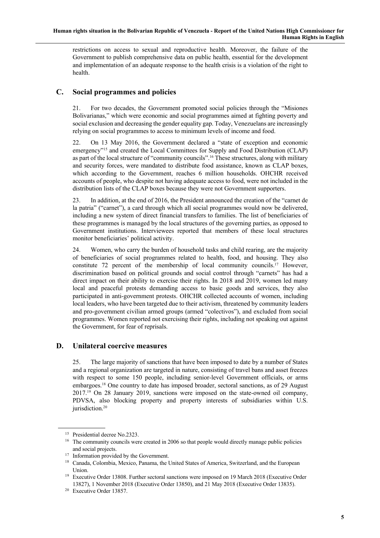restrictions on access to sexual and reproductive health. Moreover, the failure of the Government to publish comprehensive data on public health, essential for the development and implementation of an adequate response to the health crisis is a violation of the right to health.

## **C. Social programmes and policies**

21. For two decades, the Government promoted social policies through the "Misiones Bolivarianas," which were economic and social programmes aimed at fighting poverty and social exclusion and decreasing the gender equality gap. Today, Venezuelans are increasingly relying on social programmes to access to minimum levels of income and food.

22. On 13 May 2016, the Government declared a "state of exception and economic emergency"<sup>15</sup> and created the Local Committees for Supply and Food Distribution (CLAP) as part of the local structure of "community councils". <sup>16</sup> These structures, along with military and security forces, were mandated to distribute food assistance, known as CLAP boxes, which according to the Government, reaches 6 million households. OHCHR received accounts of people, who despite not having adequate access to food, were not included in the distribution lists of the CLAP boxes because they were not Government supporters.

23. In addition, at the end of 2016, the President announced the creation of the "carnet de la patria" ("carnet"), a card through which all social programmes would now be delivered, including a new system of direct financial transfers to families. The list of beneficiaries of these programmes is managed by the local structures of the governing parties, as opposed to Government institutions. Interviewees reported that members of these local structures monitor beneficiaries' political activity.

24. Women, who carry the burden of household tasks and child rearing, are the majority of beneficiaries of social programmes related to health, food, and housing. They also constitute 72 percent of the membership of local community councils.<sup>17</sup> However, discrimination based on political grounds and social control through "carnets" has had a direct impact on their ability to exercise their rights. In 2018 and 2019, women led many local and peaceful protests demanding access to basic goods and services, they also participated in anti-government protests. OHCHR collected accounts of women, including local leaders, who have been targeted due to their activism, threatened by community leaders and pro-government civilian armed groups (armed "colectivos"), and excluded from social programmes. Women reported not exercising their rights, including not speaking out against the Government, for fear of reprisals.

## **D. Unilateral coercive measures**

25. The large majority of sanctions that have been imposed to date by a number of States and a regional organization are targeted in nature, consisting of travel bans and asset freezes with respect to some 150 people, including senior-level Government officials, or arms embargoes.18 One country to date has imposed broader, sectoral sanctions, as of 29 August 2017.19 On 28 January 2019, sanctions were imposed on the state-owned oil company, PDVSA, also blocking property and property interests of subsidiaries within U.S. jurisdiction.20

<sup>15</sup> Presidential decree No.2323.

<sup>&</sup>lt;sup>16</sup> The community councils were created in 2006 so that people would directly manage public policies and social projects.

<sup>&</sup>lt;sup>17</sup> Information provided by the Government.

<sup>&</sup>lt;sup>18</sup> Canada, Colombia, Mexico, Panama, the United States of America, Switzerland, and the European Union.

<sup>&</sup>lt;sup>19</sup> Executive Order 13808. Further sectoral sanctions were imposed on 19 March 2018 (Executive Order 13827), 1 November 2018 (Executive Order 13850), and 21 May 2018 (Executive Order 13835).

<sup>20</sup> Executive Order 13857.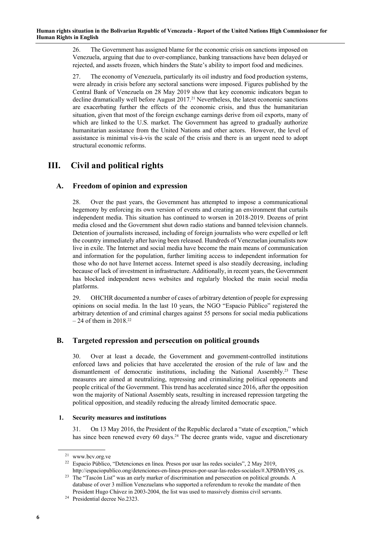26. The Government has assigned blame for the economic crisis on sanctions imposed on Venezuela, arguing that due to over-compliance, banking transactions have been delayed or rejected, and assets frozen, which hinders the State's ability to import food and medicines.

27. The economy of Venezuela, particularly its oil industry and food production systems, were already in crisis before any sectoral sanctions were imposed. Figures published by the Central Bank of Venezuela on 28 May 2019 show that key economic indicators began to decline dramatically well before August 2017.<sup>21</sup> Nevertheless, the latest economic sanctions are exacerbating further the effects of the economic crisis, and thus the humanitarian situation, given that most of the foreign exchange earnings derive from oil exports, many of which are linked to the U.S. market. The Government has agreed to gradually authorize humanitarian assistance from the United Nations and other actors. However, the level of assistance is minimal vis-à-vis the scale of the crisis and there is an urgent need to adopt structural economic reforms.

# **III. Civil and political rights**

# **A. Freedom of opinion and expression**

28. Over the past years, the Government has attempted to impose a communicational hegemony by enforcing its own version of events and creating an environment that curtails independent media. This situation has continued to worsen in 2018-2019. Dozens of print media closed and the Government shut down radio stations and banned television channels. Detention of journalists increased, including of foreign journalists who were expelled or left the country immediately after having been released. Hundreds of Venezuelan journalists now live in exile. The Internet and social media have become the main means of communication and information for the population, further limiting access to independent information for those who do not have Internet access. Internet speed is also steadily decreasing, including because of lack of investment in infrastructure. Additionally, in recent years, the Government has blocked independent news websites and regularly blocked the main social media platforms.

29. OHCHR documented a number of cases of arbitrary detention of people for expressing opinions on social media. In the last 10 years, the NGO "Espacio Público" registered the arbitrary detention of and criminal charges against 55 persons for social media publications  $-24$  of them in 2018.<sup>22</sup>

# **B. Targeted repression and persecution on political grounds**

30. Over at least a decade, the Government and government-controlled institutions enforced laws and policies that have accelerated the erosion of the rule of law and the dismantlement of democratic institutions, including the National Assembly.23 These measures are aimed at neutralizing, repressing and criminalizing political opponents and people critical of the Government. This trend has accelerated since 2016, after the opposition won the majority of National Assembly seats, resulting in increased repression targeting the political opposition, and steadily reducing the already limited democratic space.

## **1. Security measures and institutions**

31. On 13 May 2016, the President of the Republic declared a "state of exception," which has since been renewed every 60 days.<sup>24</sup> The decree grants wide, vague and discretionary

<sup>21</sup> www.bcv.org.ve

<sup>22</sup> Espacio Público, "Detenciones en línea. Presos por usar las redes sociales", 2 May 2019, http://espaciopublico.ong/detenciones-en-linea-presos-por-usar-las-redes-sociales/#.XPBMhY9S\_cs.

<sup>&</sup>lt;sup>23</sup> The "Tascón List" was an early marker of discrimination and persecution on political grounds. A database of over 3 million Venezuelans who supported a referendum to revoke the mandate of then President Hugo Chávez in 2003-2004, the list was used to massively dismiss civil servants.

<sup>24</sup> Presidential decree No.2323.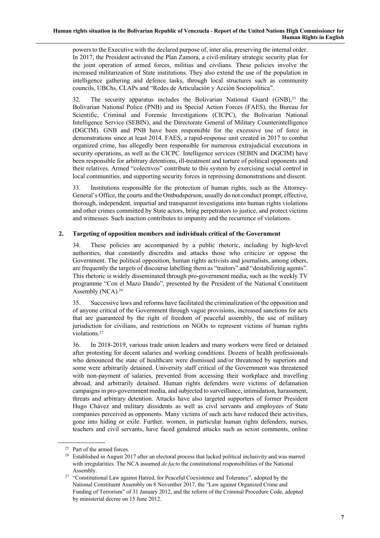powers to the Executive with the declared purpose of, inter alia, preserving the internal order. In 2017, the President activated the Plan Zamora, a civil-military strategic security plan for the joint operation of armed forces, militias and civilians. These policies involve the increased militarization of State institutions. They also extend the use of the population in intelligence gathering and defence tasks, through local structures such as community councils, UBChs, CLAPs and "Redes de Articulación y Acción Sociopolítica".

32. The security apparatus includes the Bolivarian National Guard  $(GNB)^{25}$  the Bolivarian National Police (PNB) and its Special Action Forces (FAES), the Bureau for Scientific, Criminal and Forensic Investigations (CICPC), the Bolivarian National Intelligence Service (SEBIN), and the Directorate General of Military Counterintelligence (DGCIM). GNB and PNB have been responsible for the excessive use of force in demonstrations since at least 2014. FAES, a rapid-response unit created in 2017 to combat organized crime, has allegedly been responsible for numerous extrajudicial executions in security operations, as well as the CICPC. Intelligence services (SEBIN and DGCIM) have been responsible for arbitrary detentions, ill-treatment and torture of political opponents and their relatives. Armed "colectivos" contribute to this system by exercising social control in local communities, and supporting security forces in repressing demonstrations and dissent.

33. Institutions responsible for the protection of human rights, such as the Attorney-General's Office, the courts and the Ombudsperson, usually do not conduct prompt, effective, thorough, independent, impartial and transparent investigations into human rights violations and other crimes committed by State actors, bring perpetrators to justice, and protect victims and witnesses. Such inaction contributes to impunity and the recurrence of violations.

#### **2. Targeting of opposition members and individuals critical of the Government**

34. These policies are accompanied by a public rhetoric, including by high-level authorities, that constantly discredits and attacks those who criticize or oppose the Government. The political opposition, human rights activists and journalists, among others, are frequently the targets of discourse labelling them as "traitors" and "destabilizing agents". This rhetoric is widely disseminated through pro-government media, such as the weekly TV programme "Con el Mazo Dando", presented by the President of the National Constituent Assembly (NCA).<sup>26</sup>

35. Successive laws and reforms have facilitated the criminalization of the opposition and of anyone critical of the Government through vague provisions, increased sanctions for acts that are guaranteed by the right of freedom of peaceful assembly, the use of military jurisdiction for civilians, and restrictions on NGOs to represent victims of human rights violations.27

36. In 2018-2019, various trade union leaders and many workers were fired or detained after protesting for decent salaries and working conditions. Dozens of health professionals who denounced the state of healthcare were dismissed and/or threatened by superiors and some were arbitrarily detained. University staff critical of the Government was threatened with non-payment of salaries, prevented from accessing their workplace and travelling abroad, and arbitrarily detained. Human rights defenders were victims of defamation campaigns in pro-government media, and subjected to surveillance, intimidation, harassment, threats and arbitrary detention. Attacks have also targeted supporters of former President Hugo Chávez and military dissidents as well as civil servants and employees of State companies perceived as opponents. Many victims of such acts have reduced their activities, gone into hiding or exile. Further, women, in particular human rights defenders, nurses, teachers and civil servants, have faced gendered attacks such as sexist comments, online

<sup>25</sup> Part of the armed forces.

<sup>&</sup>lt;sup>26</sup> Established in August 2017 after an electoral process that lacked political inclusivity and was marred with irregularities. The NCA assumed *de facto* the constitutional responsibilities of the National Assembly.

<sup>&</sup>lt;sup>27</sup> "Constitutional Law against Hatred, for Peaceful Coexistence and Tolerance", adopted by the National Constituent Assembly on 8 November 2017, the "Law against Organized Crime and Funding of Terrorism" of 31 January 2012, and the reform of the Criminal Procedure Code, adopted by ministerial decree on 15 June 2012.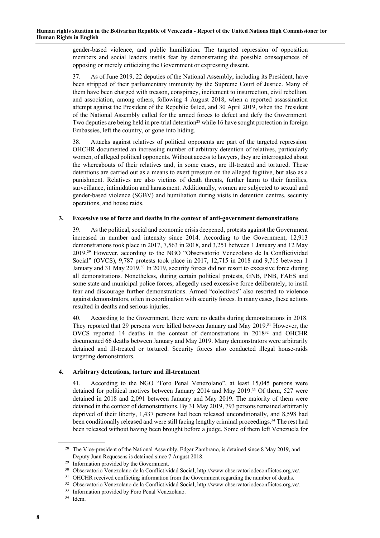gender-based violence, and public humiliation. The targeted repression of opposition members and social leaders instils fear by demonstrating the possible consequences of opposing or merely criticizing the Government or expressing dissent.

37. As of June 2019, 22 deputies of the National Assembly, including its President, have been stripped of their parliamentary immunity by the Supreme Court of Justice. Many of them have been charged with treason, conspiracy, incitement to insurrection, civil rebellion, and association, among others, following 4 August 2018, when a reported assassination attempt against the President of the Republic failed, and 30 April 2019, when the President of the National Assembly called for the armed forces to defect and defy the Government. Two deputies are being held in pre-trial detention<sup>28</sup> while 16 have sought protection in foreign Embassies, left the country, or gone into hiding.

38. Attacks against relatives of political opponents are part of the targeted repression. OHCHR documented an increasing number of arbitrary detention of relatives, particularly women, of alleged political opponents. Without access to lawyers, they are interrogated about the whereabouts of their relatives and, in some cases, are ill-treated and tortured. These detentions are carried out as a means to exert pressure on the alleged fugitive, but also as a punishment. Relatives are also victims of death threats, further harm to their families, surveillance, intimidation and harassment. Additionally, women are subjected to sexual and gender-based violence (SGBV) and humiliation during visits in detention centres, security operations, and house raids.

#### **3. Excessive use of force and deaths in the context of anti-government demonstrations**

39. As the political, social and economic crisis deepened, protests against the Government increased in number and intensity since 2014. According to the Government, 12,913 demonstrations took place in 2017, 7,563 in 2018, and 3,251 between 1 January and 12 May 2019.29 However, according to the NGO "Observatorio Venezolano de la Conflictividad Social" (OVCS), 9,787 protests took place in 2017, 12,715 in 2018 and 9,715 between 1 January and 31 May 2019.<sup>30</sup> In 2019, security forces did not resort to excessive force during all demonstrations. Nonetheless, during certain political protests, GNB, PNB, FAES and some state and municipal police forces, allegedly used excessive force deliberately, to instil fear and discourage further demonstrations. Armed "colectivos" also resorted to violence against demonstrators, often in coordination with security forces. In many cases, these actions resulted in deaths and serious injuries.

40. According to the Government, there were no deaths during demonstrations in 2018. They reported that 29 persons were killed between January and May 2019.31 However, the OVCS reported 14 deaths in the context of demonstrations in 201832 and OHCHR documented 66 deaths between January and May 2019. Many demonstrators were arbitrarily detained and ill-treated or tortured. Security forces also conducted illegal house-raids targeting demonstrators.

#### **4. Arbitrary detentions, torture and ill-treatment**

41. According to the NGO "Foro Penal Venezolano", at least 15,045 persons were detained for political motives between January 2014 and May 2019.33 Of them, 527 were detained in 2018 and 2,091 between January and May 2019. The majority of them were detained in the context of demonstrations. By 31 May 2019, 793 persons remained arbitrarily deprived of their liberty, 1,437 persons had been released unconditionally, and 8,598 had been conditionally released and were still facing lengthy criminal proceedings.<sup>34</sup> The rest had been released without having been brought before a judge. Some of them left Venezuela for

<sup>&</sup>lt;sup>28</sup> The Vice-president of the National Assembly, Edgar Zambrano, is detained since 8 May 2019, and Deputy Juan Requesens is detained since 7 August 2018.

<sup>29</sup> Information provided by the Government.

<sup>30</sup> Observatorio Venezolano de la Conflictividad Social, http://www.observatoriodeconflictos.org.ve/.

<sup>&</sup>lt;sup>31</sup> OHCHR received conflicting information from the Government regarding the number of deaths.

<sup>32</sup> Observatorio Venezolano de la Conflictividad Social, http://www.observatoriodeconflictos.org.ve/.

<sup>&</sup>lt;sup>33</sup> Information provided by Foro Penal Venezolano.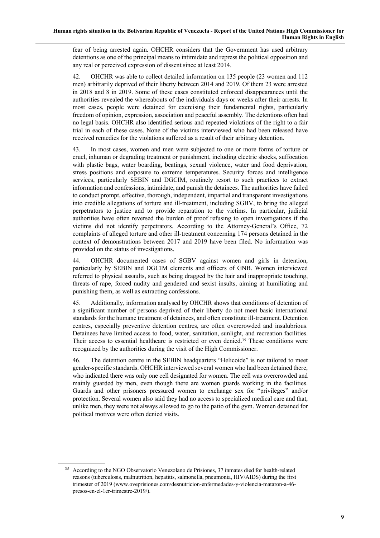fear of being arrested again. OHCHR considers that the Government has used arbitrary detentions as one of the principal means to intimidate and repress the political opposition and any real or perceived expression of dissent since at least 2014.

42. OHCHR was able to collect detailed information on 135 people (23 women and 112 men) arbitrarily deprived of their liberty between 2014 and 2019. Of them 23 were arrested in 2018 and 8 in 2019. Some of these cases constituted enforced disappearances until the authorities revealed the whereabouts of the individuals days or weeks after their arrests. In most cases, people were detained for exercising their fundamental rights, particularly freedom of opinion, expression, association and peaceful assembly. The detentions often had no legal basis. OHCHR also identified serious and repeated violations of the right to a fair trial in each of these cases. None of the victims interviewed who had been released have received remedies for the violations suffered as a result of their arbitrary detention.

43. In most cases, women and men were subjected to one or more forms of torture or cruel, inhuman or degrading treatment or punishment, including electric shocks, suffocation with plastic bags, water boarding, beatings, sexual violence, water and food deprivation, stress positions and exposure to extreme temperatures. Security forces and intelligence services, particularly SEBIN and DGCIM, routinely resort to such practices to extract information and confessions, intimidate, and punish the detainees. The authorities have failed to conduct prompt, effective, thorough, independent, impartial and transparent investigations into credible allegations of torture and ill-treatment, including SGBV, to bring the alleged perpetrators to justice and to provide reparation to the victims. In particular, judicial authorities have often reversed the burden of proof refusing to open investigations if the victims did not identify perpetrators. According to the Attorney-General's Office, 72 complaints of alleged torture and other ill-treatment concerning 174 persons detained in the context of demonstrations between 2017 and 2019 have been filed. No information was provided on the status of investigations.

44. OHCHR documented cases of SGBV against women and girls in detention, particularly by SEBIN and DGCIM elements and officers of GNB. Women interviewed referred to physical assaults, such as being dragged by the hair and inappropriate touching, threats of rape, forced nudity and gendered and sexist insults, aiming at humiliating and punishing them, as well as extracting confessions.

45. Additionally, information analysed by OHCHR shows that conditions of detention of a significant number of persons deprived of their liberty do not meet basic international standards for the humane treatment of detainees, and often constitute ill-treatment. Detention centres, especially preventive detention centres, are often overcrowded and insalubrious. Detainees have limited access to food, water, sanitation, sunlight, and recreation facilities. Their access to essential healthcare is restricted or even denied.35 These conditions were recognized by the authorities during the visit of the High Commissioner.

46. The detention centre in the SEBIN headquarters "Helicoide" is not tailored to meet gender-specific standards. OHCHR interviewed several women who had been detained there, who indicated there was only one cell designated for women. The cell was overcrowded and mainly guarded by men, even though there are women guards working in the facilities. Guards and other prisoners pressured women to exchange sex for "privileges" and/or protection. Several women also said they had no access to specialized medical care and that, unlike men, they were not always allowed to go to the patio of the gym. Women detained for political motives were often denied visits.

<sup>35</sup> According to the NGO Observatorio Venezolano de Prisiones, 37 inmates died for health-related reasons (tuberculosis, malnutrition, hepatitis, salmonella, pneumonia, HIV/AIDS) during the first trimester of 2019 (www.oveprisiones.com/desnutricion-enfermedades-y-violencia-mataron-a-46 presos-en-el-1er-trimestre-2019/).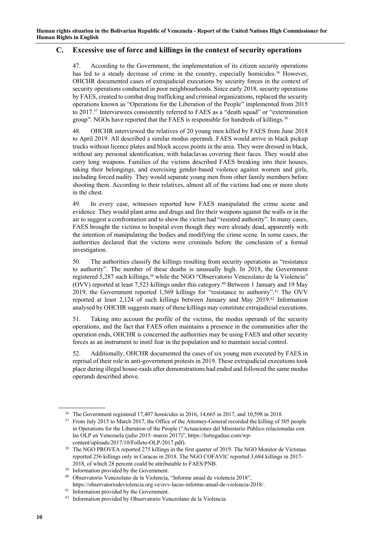## **C. Excessive use of force and killings in the context of security operations**

47. According to the Government, the implementation of its citizen security operations has led to a steady decrease of crime in the country, especially homicides.<sup>36</sup> However, OHCHR documented cases of extrajudicial executions by security forces in the context of security operations conducted in poor neighbourhoods. Since early 2018, security operations by FAES, created to combat drug trafficking and criminal organizations, replaced the security operations known as "Operations for the Liberation of the People" implemented from 2015 to 2017.37 Interviewees consistently referred to FAES as a "death squad" or "extermination group". NGOs have reported that the FAES is responsible for hundreds of killings.38

48. OHCHR interviewed the relatives of 20 young men killed by FAES from June 2018 to April 2019. All described a similar modus operandi. FAES would arrive in black pickup trucks without licence plates and block access points in the area. They were dressed in black, without any personal identification, with balaclavas covering their faces. They would also carry long weapons. Families of the victims described FAES breaking into their houses, taking their belongings, and exercising gender-based violence against women and girls, including forced nudity. They would separate young men from other family members before shooting them. According to their relatives, almost all of the victims had one or more shots in the chest.

49. In every case, witnesses reported how FAES manipulated the crime scene and evidence. They would plant arms and drugs and fire their weapons against the walls or in the air to suggest a confrontation and to show the victim had "resisted authority". In many cases, FAES brought the victims to hospital even though they were already dead, apparently with the intention of manipulating the bodies and modifying the crime scene. In some cases, the authorities declared that the victims were criminals before the conclusion of a formal investigation.

50. The authorities classify the killings resulting from security operations as "resistance to authority". The number of these deaths is unusually high. In 2018, the Government registered 5,287 such killings, <sup>39</sup> while the NGO "Observatorio Venezolano de la Violencia" (OVV) reported at least 7,523 killings under this category.40 Between 1 January and 19 May 2019, the Government reported 1,569 killings for "resistance to authority".41 The OVV reported at least 2,124 of such killings between January and May 2019.42 Information analysed by OHCHR suggests many of these killings may constitute extrajudicial executions.

51. Taking into account the profile of the victims, the modus operandi of the security operations, and the fact that FAES often maintains a presence in the communities after the operation ends, OHCHR is concerned the authorities may be using FAES and other security forces as an instrument to instil fear in the population and to maintain social control.

52. Additionally, OHCHR documented the cases of six young men executed by FAES in reprisal of their role in anti-government protests in 2019. These extrajudicial executions took place during illegal house-raids after demonstrations had ended and followed the same modus operandi described above.

<sup>36</sup> The Government registered 17,407 homicides in 2016, 14,665 in 2017, and 10,598 in 2018.

<sup>&</sup>lt;sup>37</sup> From July 2015 to March 2017, the Office of the Attorney-General recorded the killing of 505 people in Operations for the Liberation of the People ("Actuaciones del Ministerio Público relacionadas con las OLP en Venezuela (julio 2015–marzo 2017)", https://lortegadiaz.com/wpcontent/uploads/2017/10/Folleto-OLP-2017.pdf).

<sup>&</sup>lt;sup>38</sup> The NGO PROVEA reported 275 killings in the first quarter of 2019. The NGO Monitor de Víctimas reported 256 killings only in Caracas in 2018. The NGO COFAVIC reported 3,684 killings in 2017- 2018, of which 28 percent could be attributable to FAES/PNB.

<sup>&</sup>lt;sup>39</sup> Information provided by the Government.

<sup>40</sup> Observatorio Venezolano de la Violencia, "Informe anual de violencia 2018", https://observatoriodeviolencia.org.ve/ovv-lacso-informe-anual-de-violencia-2018/.

<sup>&</sup>lt;sup>41</sup> Information provided by the Government.

<sup>42</sup> Information provided by Observatorio Venezolano de la Violencia.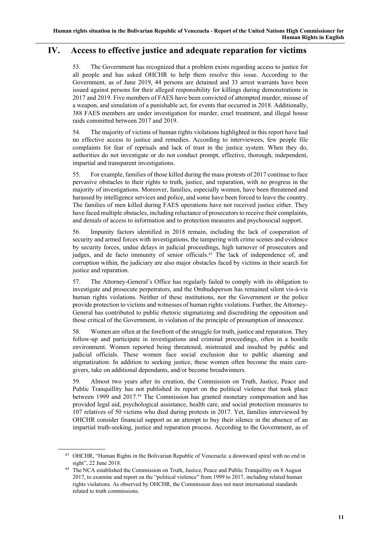# **IV. Access to effective justice and adequate reparation for victims**

53. The Government has recognized that a problem exists regarding access to justice for all people and has asked OHCHR to help them resolve this issue. According to the Government, as of June 2019, 44 persons are detained and 33 arrest warrants have been issued against persons for their alleged responsibility for killings during demonstrations in 2017 and 2019. Five members of FAES have been convicted of attempted murder, misuse of a weapon, and simulation of a punishable act, for events that occurred in 2018. Additionally, 388 FAES members are under investigation for murder, cruel treatment, and illegal house raids committed between 2017 and 2019.

54. The majority of victims of human rights violations highlighted in this report have had no effective access to justice and remedies. According to interviewees, few people file complaints for fear of reprisals and lack of trust in the justice system. When they do, authorities do not investigate or do not conduct prompt, effective, thorough, independent, impartial and transparent investigations.

55. For example, families of those killed during the mass protests of 2017 continue to face pervasive obstacles to their rights to truth, justice, and reparation, with no progress in the majority of investigations. Moreover, families, especially women, have been threatened and harassed by intelligence services and police, and some have been forced to leave the country. The families of men killed during FAES operations have not received justice either. They have faced multiple obstacles, including reluctance of prosecutors to receive their complaints, and denials of access to information and to protection measures and psychosocial support.

56. Impunity factors identified in 2018 remain, including the lack of cooperation of security and armed forces with investigations, the tampering with crime scenes and evidence by security forces, undue delays in judicial proceedings, high turnover of prosecutors and judges, and de facto immunity of senior officials.<sup>43</sup> The lack of independence of, and corruption within, the judiciary are also major obstacles faced by victims in their search for justice and reparation.

57. The Attorney-General's Office has regularly failed to comply with its obligation to investigate and prosecute perpetrators, and the Ombudsperson has remained silent vis-à-vis human rights violations. Neither of these institutions, nor the Government or the police provide protection to victims and witnesses of human rights violations. Further, the Attorney-General has contributed to public rhetoric stigmatizing and discrediting the opposition and those critical of the Government, in violation of the principle of presumption of innocence.

58. Women are often at the forefront of the struggle for truth, justice and reparation. They follow-up and participate in investigations and criminal proceedings, often in a hostile environment. Women reported being threatened, mistreated and insulted by public and judicial officials. These women face social exclusion due to public shaming and stigmatization. In addition to seeking justice, these women often become the main caregivers, take on additional dependants, and/or become breadwinners.

59. Almost two years after its creation, the Commission on Truth, Justice, Peace and Public Tranquillity has not published its report on the political violence that took place between 1999 and 2017.<sup>44</sup> The Commission has granted monetary compensation and has provided legal aid, psychological assistance, health care, and social protection measures to 107 relatives of 50 victims who died during protests in 2017. Yet, families interviewed by OHCHR consider financial support as an attempt to buy their silence in the absence of an impartial truth-seeking, justice and reparation process. According to the Government, as of

<sup>43</sup> OHCHR, "Human Rights in the Bolivarian Republic of Venezuela: a downward spiral with no end in sight", 22 June 2018.

<sup>44</sup> The NCA established the Commission on Truth, Justice, Peace and Public Tranquillity on 8 August 2017, to examine and report on the "political violence" from 1999 to 2017, including related human rights violations. As observed by OHCHR, the Commission does not meet international standards related to truth commissions.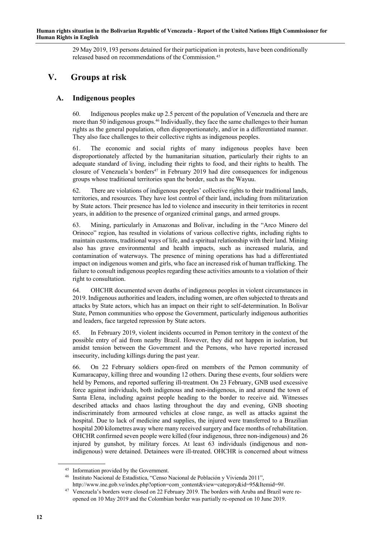29 May 2019, 193 persons detained for their participation in protests, have been conditionally released based on recommendations of the Commission.45

# **V. Groups at risk**

## **A. Indigenous peoples**

60. Indigenous peoples make up 2.5 percent of the population of Venezuela and there are more than 50 indigenous groups.46 Individually, they face the same challenges to their human rights as the general population, often disproportionately, and/or in a differentiated manner. They also face challenges to their collective rights as indigenous peoples.

61. The economic and social rights of many indigenous peoples have been disproportionately affected by the humanitarian situation, particularly their rights to an adequate standard of living, including their rights to food, and their rights to health. The closure of Venezuela's borders<sup>47</sup> in February 2019 had dire consequences for indigenous groups whose traditional territories span the border, such as the Wayuu.

62. There are violations of indigenous peoples' collective rights to their traditional lands, territories, and resources. They have lost control of their land, including from militarization by State actors. Their presence has led to violence and insecurity in their territories in recent years, in addition to the presence of organized criminal gangs, and armed groups.

63. Mining, particularly in Amazonas and Bolivar, including in the "Arco Minero del Orinoco" region, has resulted in violations of various collective rights, including rights to maintain customs, traditional ways of life, and a spiritual relationship with their land. Mining also has grave environmental and health impacts, such as increased malaria, and contamination of waterways. The presence of mining operations has had a differentiated impact on indigenous women and girls, who face an increased risk of human trafficking. The failure to consult indigenous peoples regarding these activities amounts to a violation of their right to consultation.

64. OHCHR documented seven deaths of indigenous peoples in violent circumstances in 2019. Indigenous authorities and leaders, including women, are often subjected to threats and attacks by State actors, which has an impact on their right to self-determination. In Bolivar State, Pemon communities who oppose the Government, particularly indigenous authorities and leaders, face targeted repression by State actors.

65. In February 2019, violent incidents occurred in Pemon territory in the context of the possible entry of aid from nearby Brazil. However, they did not happen in isolation, but amidst tension between the Government and the Pemons, who have reported increased insecurity, including killings during the past year.

66. On 22 February soldiers open-fired on members of the Pemon community of Kumaracapay, killing three and wounding 12 others. During these events, four soldiers were held by Pemons, and reported suffering ill-treatment. On 23 February, GNB used excessive force against individuals, both indigenous and non-indigenous, in and around the town of Santa Elena, including against people heading to the border to receive aid. Witnesses described attacks and chaos lasting throughout the day and evening, GNB shooting indiscriminately from armoured vehicles at close range, as well as attacks against the hospital. Due to lack of medicine and supplies, the injured were transferred to a Brazilian hospital 200 kilometres away where many received surgery and face months of rehabilitation. OHCHR confirmed seven people were killed (four indigenous, three non-indigenous) and 26 injured by gunshot, by military forces. At least 63 individuals (indigenous and nonindigenous) were detained. Detainees were ill-treated. OHCHR is concerned about witness

Information provided by the Government.

<sup>46</sup> Instituto Nacional de Estadística, "Censo Nacional de Población y Vivienda 2011",

http://www.ine.gob.ve/index.php?option=com\_content&view=category&id=95&Itemid=9#. <sup>47</sup> Venezuela's borders were closed on 22 February 2019. The borders with Aruba and Brazil were reopened on 10 May 2019 and the Colombian border was partially re-opened on 10 June 2019.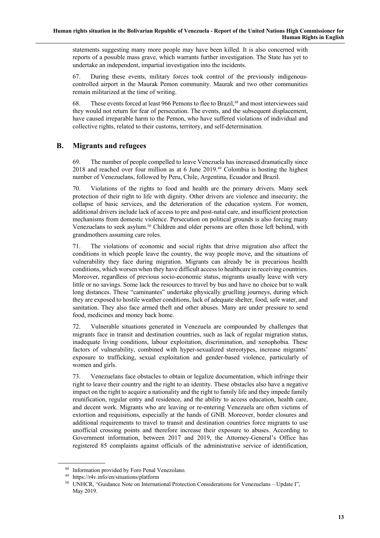statements suggesting many more people may have been killed. It is also concerned with reports of a possible mass grave, which warrants further investigation. The State has yet to undertake an independent, impartial investigation into the incidents.

67. During these events, military forces took control of the previously indigenouscontrolled airport in the Maurak Pemon community. Maurak and two other communities remain militarized at the time of writing.

68. These events forced at least 966 Pemons to flee to Brazil, <sup>48</sup> and most interviewees said they would not return for fear of persecution. The events, and the subsequent displacement, have caused irreparable harm to the Pemon, who have suffered violations of individual and collective rights, related to their customs, territory, and self-determination.

## **B. Migrants and refugees**

69. The number of people compelled to leave Venezuela has increased dramatically since 2018 and reached over four million as at 6 June 2019.49 Colombia is hosting the highest number of Venezuelans, followed by Peru, Chile, Argentina, Ecuador and Brazil.

70. Violations of the rights to food and health are the primary drivers. Many seek protection of their right to life with dignity. Other drivers are violence and insecurity, the collapse of basic services, and the deterioration of the education system. For women, additional drivers include lack of access to pre and post-natal care, and insufficient protection mechanisms from domestic violence. Persecution on political grounds is also forcing many Venezuelans to seek asylum.50 Children and older persons are often those left behind, with grandmothers assuming care roles.

71. The violations of economic and social rights that drive migration also affect the conditions in which people leave the country, the way people move, and the situations of vulnerability they face during migration. Migrants can already be in precarious health conditions, which worsen when they have difficult access to healthcare in receiving countries. Moreover, regardless of previous socio-economic status, migrants usually leave with very little or no savings. Some lack the resources to travel by bus and have no choice but to walk long distances. These "caminantes" undertake physically gruelling journeys, during which they are exposed to hostile weather conditions, lack of adequate shelter, food, safe water, and sanitation. They also face armed theft and other abuses. Many are under pressure to send food, medicines and money back home.

72. Vulnerable situations generated in Venezuela are compounded by challenges that migrants face in transit and destination countries, such as lack of regular migration status, inadequate living conditions, labour exploitation, discrimination, and xenophobia. These factors of vulnerability, combined with hyper-sexualized stereotypes, increase migrants' exposure to trafficking, sexual exploitation and gender-based violence, particularly of women and girls.

73. Venezuelans face obstacles to obtain or legalize documentation, which infringe their right to leave their country and the right to an identity. These obstacles also have a negative impact on the right to acquire a nationality and the right to family life and they impede family reunification, regular entry and residence, and the ability to access education, health care, and decent work. Migrants who are leaving or re-entering Venezuela are often victims of extortion and requisitions, especially at the hands of GNB. Moreover, border closures and additional requirements to travel to transit and destination countries force migrants to use unofficial crossing points and therefore increase their exposure to abuses. According to Government information, between 2017 and 2019, the Attorney-General's Office has registered 85 complaints against officials of the administrative service of identification,

<sup>48</sup> Information provided by Foro Penal Venezolano*.*

<sup>49</sup> https://r4v.info/en/situations/platform

<sup>&</sup>lt;sup>50</sup> UNHCR, "Guidance Note on International Protection Considerations for Venezuelans - Update I", May 2019.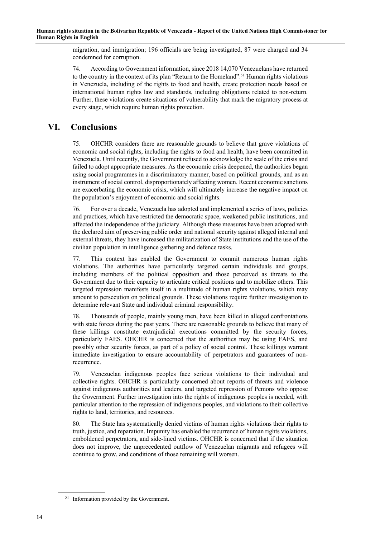migration, and immigration; 196 officials are being investigated, 87 were charged and 34 condemned for corruption.

74. According to Government information, since 2018 14,070 Venezuelans have returned to the country in the context of its plan "Return to the Homeland".<sup>51</sup> Human rights violations in Venezuela, including of the rights to food and health, create protection needs based on international human rights law and standards, including obligations related to non-return. Further, these violations create situations of vulnerability that mark the migratory process at every stage, which require human rights protection.

# **VI. Conclusions**

75. OHCHR considers there are reasonable grounds to believe that grave violations of economic and social rights, including the rights to food and health, have been committed in Venezuela. Until recently, the Government refused to acknowledge the scale of the crisis and failed to adopt appropriate measures. As the economic crisis deepened, the authorities began using social programmes in a discriminatory manner, based on political grounds, and as an instrument of social control, disproportionately affecting women. Recent economic sanctions are exacerbating the economic crisis, which will ultimately increase the negative impact on the population's enjoyment of economic and social rights.

76. For over a decade, Venezuela has adopted and implemented a series of laws, policies and practices, which have restricted the democratic space, weakened public institutions, and affected the independence of the judiciary. Although these measures have been adopted with the declared aim of preserving public order and national security against alleged internal and external threats, they have increased the militarization of State institutions and the use of the civilian population in intelligence gathering and defence tasks.

77. This context has enabled the Government to commit numerous human rights violations. The authorities have particularly targeted certain individuals and groups, including members of the political opposition and those perceived as threats to the Government due to their capacity to articulate critical positions and to mobilize others. This targeted repression manifests itself in a multitude of human rights violations, which may amount to persecution on political grounds. These violations require further investigation to determine relevant State and individual criminal responsibility.

78. Thousands of people, mainly young men, have been killed in alleged confrontations with state forces during the past years. There are reasonable grounds to believe that many of these killings constitute extrajudicial executions committed by the security forces, particularly FAES. OHCHR is concerned that the authorities may be using FAES, and possibly other security forces, as part of a policy of social control. These killings warrant immediate investigation to ensure accountability of perpetrators and guarantees of nonrecurrence.

79. Venezuelan indigenous peoples face serious violations to their individual and collective rights. OHCHR is particularly concerned about reports of threats and violence against indigenous authorities and leaders, and targeted repression of Pemons who oppose the Government. Further investigation into the rights of indigenous peoples is needed, with particular attention to the repression of indigenous peoples, and violations to their collective rights to land, territories, and resources.

80. The State has systematically denied victims of human rights violations their rights to truth, justice, and reparation. Impunity has enabled the recurrence of human rights violations, emboldened perpetrators, and side-lined victims. OHCHR is concerned that if the situation does not improve, the unprecedented outflow of Venezuelan migrants and refugees will continue to grow, and conditions of those remaining will worsen.

<sup>&</sup>lt;sup>51</sup> Information provided by the Government.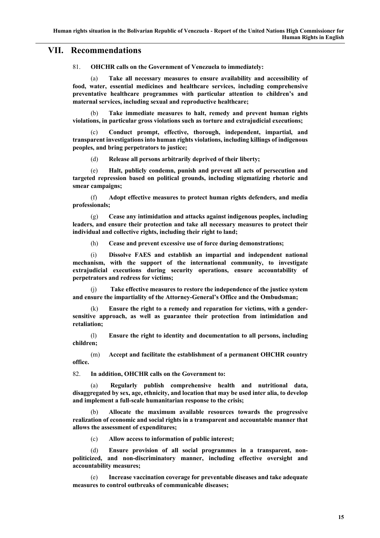## **VII. Recommendations**

81. **OHCHR calls on the Government of Venezuela to immediately:**

(a) **Take all necessary measures to ensure availability and accessibility of food, water, essential medicines and healthcare services, including comprehensive preventative healthcare programmes with particular attention to children's and maternal services, including sexual and reproductive healthcare;**

(b) **Take immediate measures to halt, remedy and prevent human rights violations, in particular gross violations such as torture and extrajudicial executions;**

(c) **Conduct prompt, effective, thorough, independent, impartial, and transparent investigations into human rights violations, including killings of indigenous peoples, and bring perpetrators to justice;**

(d) **Release all persons arbitrarily deprived of their liberty;**

(e) **Halt, publicly condemn, punish and prevent all acts of persecution and targeted repression based on political grounds, including stigmatizing rhetoric and smear campaigns;**

(f) **Adopt effective measures to protect human rights defenders, and media professionals;**

(g) **Cease any intimidation and attacks against indigenous peoples, including leaders, and ensure their protection and take all necessary measures to protect their individual and collective rights, including their right to land;**

(h) **Cease and prevent excessive use of force during demonstrations;**

(i) **Dissolve FAES and establish an impartial and independent national mechanism, with the support of the international community, to investigate extrajudicial executions during security operations, ensure accountability of perpetrators and redress for victims;**

(j) **Take effective measures to restore the independence of the justice system and ensure the impartiality of the Attorney-General's Office and the Ombudsman;**

(k) **Ensure the right to a remedy and reparation for victims, with a gendersensitive approach, as well as guarantee their protection from intimidation and retaliation;**

(l) **Ensure the right to identity and documentation to all persons, including children;**

(m) **Accept and facilitate the establishment of a permanent OHCHR country office.**

82. **In addition, OHCHR calls on the Government to:**

Regularly publish comprehensive health and nutritional data, **disaggregated by sex, age, ethnicity, and location that may be used inter alia, to develop and implement a full-scale humanitarian response to the crisis;**

(b) **Allocate the maximum available resources towards the progressive realization of economic and social rights in a transparent and accountable manner that allows the assessment of expenditures;**

(c) **Allow access to information of public interest;**

(d) **Ensure provision of all social programmes in a transparent, nonpoliticized, and non-discriminatory manner, including effective oversight and accountability measures;**

(e) **Increase vaccination coverage for preventable diseases and take adequate measures to control outbreaks of communicable diseases;**